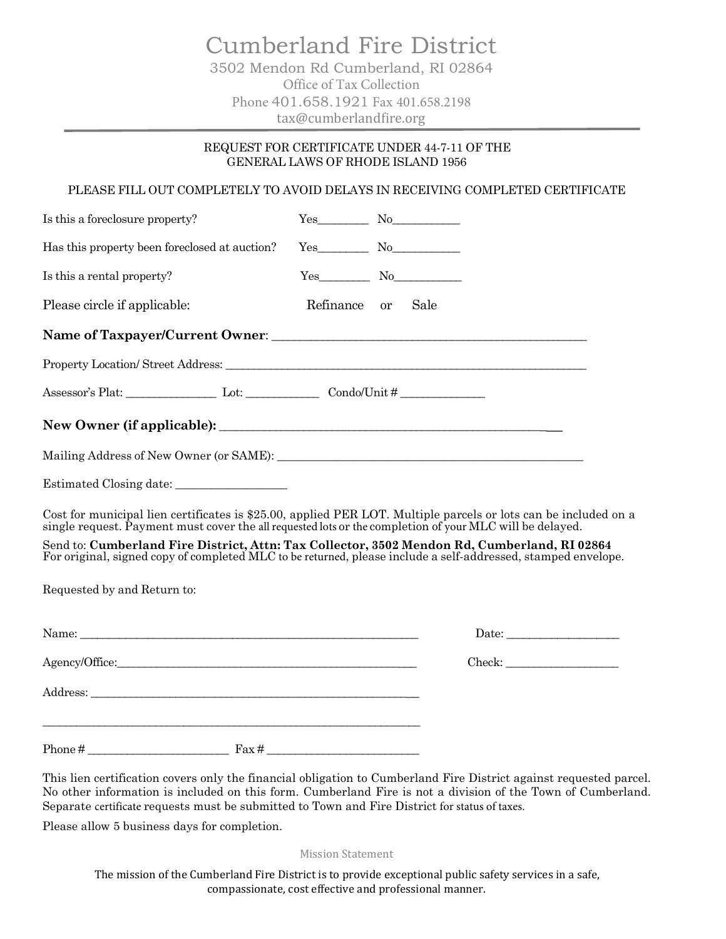Cumberland Fire District 3502 Mendon Rd Cumberland, RI 02864 Office of Tax Collection Phone 401.658.1921 Fax 401.658.2198 tax@cumberlandfire.org

## REQUEST FOR CERTIFICATE UNDER 44-7-11 OF THE GENERAL LAWS OF RHODE ISLAND 1956

PLEASE FILL OUT COMPLETELY TO AVOID DELAYS IN RECEIVING COMPLETED CERTIFICATE

| Is this a foreclosure property?                                                                                                                                                                                                                                                                                               | $Yes$ No     |      |                                                                                                                                                                                                                                                                                                                                                                                                                                                                 |
|-------------------------------------------------------------------------------------------------------------------------------------------------------------------------------------------------------------------------------------------------------------------------------------------------------------------------------|--------------|------|-----------------------------------------------------------------------------------------------------------------------------------------------------------------------------------------------------------------------------------------------------------------------------------------------------------------------------------------------------------------------------------------------------------------------------------------------------------------|
| Has this property been foreclosed at auction?                                                                                                                                                                                                                                                                                 | $Yes$ No     |      |                                                                                                                                                                                                                                                                                                                                                                                                                                                                 |
| Is this a rental property?                                                                                                                                                                                                                                                                                                    | $Yes$ No     |      |                                                                                                                                                                                                                                                                                                                                                                                                                                                                 |
| Please circle if applicable:                                                                                                                                                                                                                                                                                                  | Refinance or | Sale |                                                                                                                                                                                                                                                                                                                                                                                                                                                                 |
|                                                                                                                                                                                                                                                                                                                               |              |      |                                                                                                                                                                                                                                                                                                                                                                                                                                                                 |
|                                                                                                                                                                                                                                                                                                                               |              |      |                                                                                                                                                                                                                                                                                                                                                                                                                                                                 |
| Assessor's Plat: Let: Let: Condo/Unit #                                                                                                                                                                                                                                                                                       |              |      |                                                                                                                                                                                                                                                                                                                                                                                                                                                                 |
|                                                                                                                                                                                                                                                                                                                               |              |      |                                                                                                                                                                                                                                                                                                                                                                                                                                                                 |
|                                                                                                                                                                                                                                                                                                                               |              |      |                                                                                                                                                                                                                                                                                                                                                                                                                                                                 |
|                                                                                                                                                                                                                                                                                                                               |              |      |                                                                                                                                                                                                                                                                                                                                                                                                                                                                 |
| Cost for municipal lien certificates is \$25.00, applied PER LOT. Multiple parcels or lots can be included on a<br>single request. Payment must cover the all requested lots or the completion of your MLC will be delayed.                                                                                                   |              |      |                                                                                                                                                                                                                                                                                                                                                                                                                                                                 |
| Send to: Cumberland Fire District, Attn: Tax Collector, 3502 Mendon Rd, Cumberland, RI 02864<br>For original, signed copy of completed MLC to be returned, please include a self-addressed, stamped envelope.                                                                                                                 |              |      |                                                                                                                                                                                                                                                                                                                                                                                                                                                                 |
| Requested by and Return to:                                                                                                                                                                                                                                                                                                   |              |      |                                                                                                                                                                                                                                                                                                                                                                                                                                                                 |
|                                                                                                                                                                                                                                                                                                                               |              |      | $\text{Date:}\_\_$                                                                                                                                                                                                                                                                                                                                                                                                                                              |
|                                                                                                                                                                                                                                                                                                                               |              |      | $\text{Check:}\underline{\hspace{2cm}}% \begin{tabular}{ccccccccc} \multicolumn{3}{c}{\textbf{1.5}} & \multicolumn{3}{c}{\textbf{1.5}} & \multicolumn{3}{c}{\textbf{1.5}} & \multicolumn{3}{c}{\textbf{1.5}} & \multicolumn{3}{c}{\textbf{1.5}} & \multicolumn{3}{c}{\textbf{1.5}} & \multicolumn{3}{c}{\textbf{1.5}} & \multicolumn{3}{c}{\textbf{1.5}} & \multicolumn{3}{c}{\textbf{1.5}} & \multicolumn{3}{c}{\textbf{1.5}} & \multicolumn{3}{c}{\textbf{1.$ |
|                                                                                                                                                                                                                                                                                                                               |              |      |                                                                                                                                                                                                                                                                                                                                                                                                                                                                 |
| $\frac{1}{2}$ $\frac{1}{2}$ $\frac{1}{2}$ $\frac{1}{2}$ $\frac{1}{2}$ $\frac{1}{2}$ $\frac{1}{2}$ $\frac{1}{2}$ $\frac{1}{2}$ $\frac{1}{2}$ $\frac{1}{2}$ $\frac{1}{2}$ $\frac{1}{2}$ $\frac{1}{2}$ $\frac{1}{2}$ $\frac{1}{2}$ $\frac{1}{2}$ $\frac{1}{2}$ $\frac{1}{2}$ $\frac{1}{2}$ $\frac{1}{2}$ $\frac{1}{2}$<br>Phone# |              |      |                                                                                                                                                                                                                                                                                                                                                                                                                                                                 |

This lien certification covers only the financial obligation to Cumberland Fire District against requested parcel. No other information is included on this form. Cumberland Fire is not a division of the Town of Cumberland. Separate certificate requests must be submitted to Town and Fire District for status of taxes.

Please allow 5 business days for completion.

Mission Statement

The mission of the Cumberland Fire District is to provide exceptional public safety services in a safe, compassionate, cost effective and professional manner.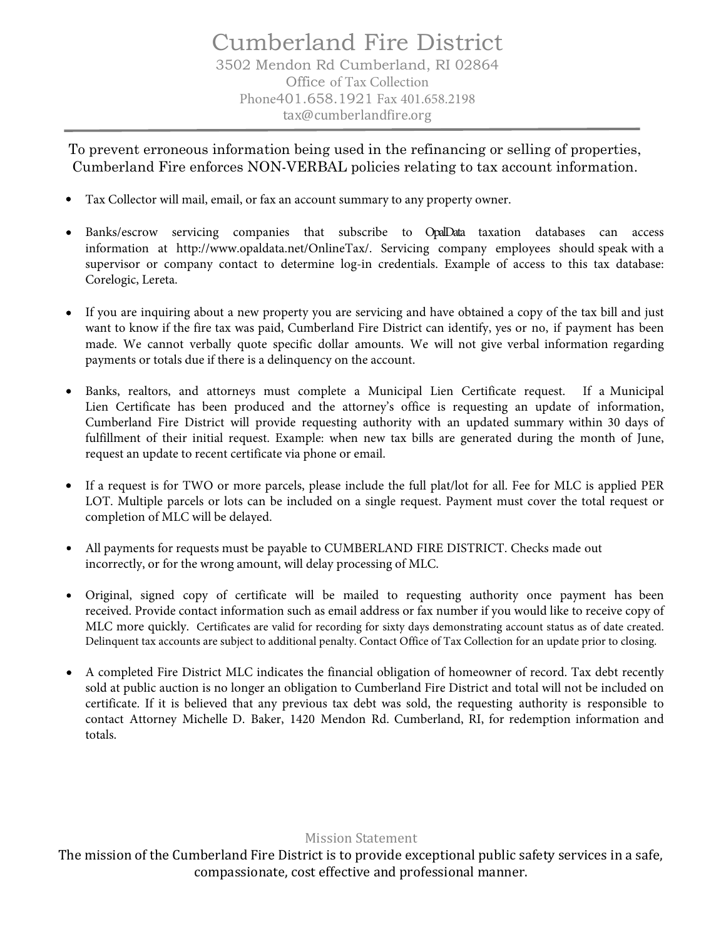To prevent erroneous information being used in the refinancing or selling of properties, Cumberland Fire enforces NON-VERBAL policies relating to tax account information.

- Tax Collector will mail, email, or fax an account summary to any property owner.
- Banks/escrow servicing companies that subscribe to OpalData taxation databases can access information at http://www.opaldata.net/OnlineTax/. Servicing company employees should speak with a supervisor or company contact to determine log-in credentials. Example of access to this tax database: Corelogic, Lereta.
- If you are inquiring about a new property you are servicing and have obtained a copy of the tax bill and just want to know if the fire tax was paid, Cumberland Fire District can identify, yes or no, if payment has been made. We cannot verbally quote specific dollar amounts. We will not give verbal information regarding payments or totals due if there is a delinquency on the account.
- Banks, realtors, and attorneys must complete a Municipal Lien Certificate request. If a Municipal Lien Certificate has been produced and the attorney's office is requesting an update of information, Cumberland Fire District will provide requesting authority with an updated summary within 30 days of fulfillment of their initial request. Example: when new tax bills are generated during the month of June, request an update to recent certificate via phone or email.
- If a request is for TWO or more parcels, please include the full plat/lot for all. Fee for MLC is applied PER LOT. Multiple parcels or lots can be included on a single request. Payment must cover the total request or completion of MLC will be delayed.
- All payments for requests must be payable to CUMBERLAND FIRE DISTRICT. Checks made out incorrectly, or for the wrong amount, will delay processing of MLC.
- Original, signed copy of certificate will be mailed to requesting authority once payment has been received. Provide contact information such as email address or fax number if you would like to receive copy of MLC more quickly. Certificates are valid for recording for sixty days demonstrating account status as of date created. Delinquent tax accounts are subject to additional penalty. Contact Office of Tax Collection for an update prior to closing.
- A completed Fire District MLC indicates the financial obligation of homeowner of record. Tax debt recently sold at public auction is no longer an obligation to Cumberland Fire District and total will not be included on certificate. If it is believed that any previous tax debt was sold, the requesting authority is responsible to contact Attorney Michelle D. Baker, 1420 Mendon Rd. Cumberland, RI, for redemption information and totals.

## Mission Statement

The mission of the Cumberland Fire District is to provide exceptional public safety services in a safe, compassionate, cost effective and professional manner.